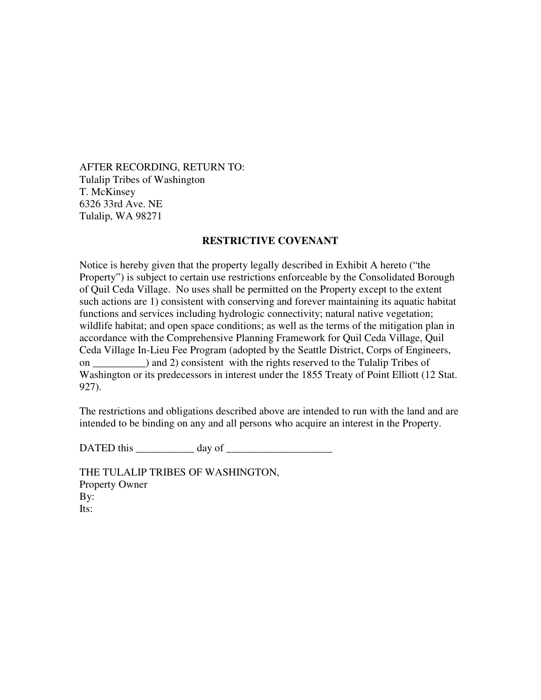AFTER RECORDING, RETURN TO: Tulalip Tribes of Washington T. McKinsey 6326 33rd Ave. NE Tulalip, WA 98271

## **RESTRICTIVE COVENANT**

Notice is hereby given that the property legally described in Exhibit A hereto ("the Property") is subject to certain use restrictions enforceable by the Consolidated Borough of Quil Ceda Village. No uses shall be permitted on the Property except to the extent such actions are 1) consistent with conserving and forever maintaining its aquatic habitat functions and services including hydrologic connectivity; natural native vegetation; wildlife habitat; and open space conditions; as well as the terms of the mitigation plan in accordance with the Comprehensive Planning Framework for Quil Ceda Village, Quil Ceda Village In-Lieu Fee Program (adopted by the Seattle District, Corps of Engineers, on and 2) consistent with the rights reserved to the Tulalip Tribes of Washington or its predecessors in interest under the 1855 Treaty of Point Elliott (12 Stat. 927).

The restrictions and obligations described above are intended to run with the land and are intended to be binding on any and all persons who acquire an interest in the Property.

DATED this day of

THE TULALIP TRIBES OF WASHINGTON, Property Owner By: Its: